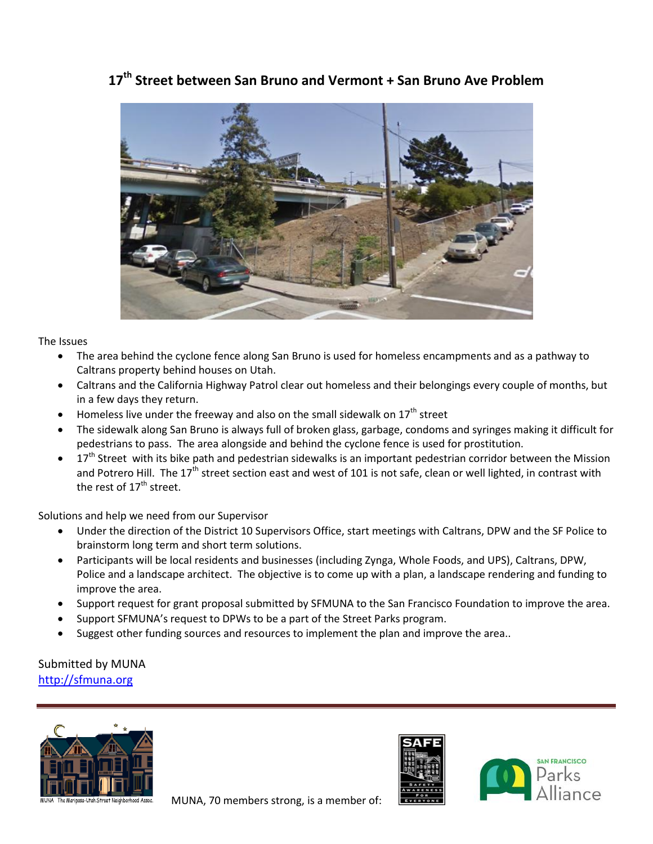## **17 th Street between San Bruno and Vermont + San Bruno Ave Problem**



## The Issues

- The area behind the cyclone fence along San Bruno is used for homeless encampments and as a pathway to Caltrans property behind houses on Utah.
- Caltrans and the California Highway Patrol clear out homeless and their belongings every couple of months, but in a few days they return.
- Homeless live under the freeway and also on the small sidewalk on  $17<sup>th</sup>$  street
- The sidewalk along San Bruno is always full of broken glass, garbage, condoms and syringes making it difficult for pedestrians to pass. The area alongside and behind the cyclone fence is used for prostitution.
- 17<sup>th</sup> Street with its bike path and pedestrian sidewalks is an important pedestrian corridor between the Mission and Potrero Hill. The 17<sup>th</sup> street section east and west of 101 is not safe, clean or well lighted, in contrast with the rest of  $17<sup>th</sup>$  street.

Solutions and help we need from our Supervisor

- Under the direction of the District 10 Supervisors Office, start meetings with Caltrans, DPW and the SF Police to brainstorm long term and short term solutions.
- Participants will be local residents and businesses (including Zynga, Whole Foods, and UPS), Caltrans, DPW, Police and a landscape architect. The objective is to come up with a plan, a landscape rendering and funding to improve the area.
- Support request for grant proposal submitted by SFMUNA to the San Francisco Foundation to improve the area.
- Support SFMUNA's request to DPWs to be a part of the Street Parks program.
- Suggest other funding sources and resources to implement the plan and improve the area..

Submitted by MUNA [http://sfmuna.org](http://sfmuna.org/)